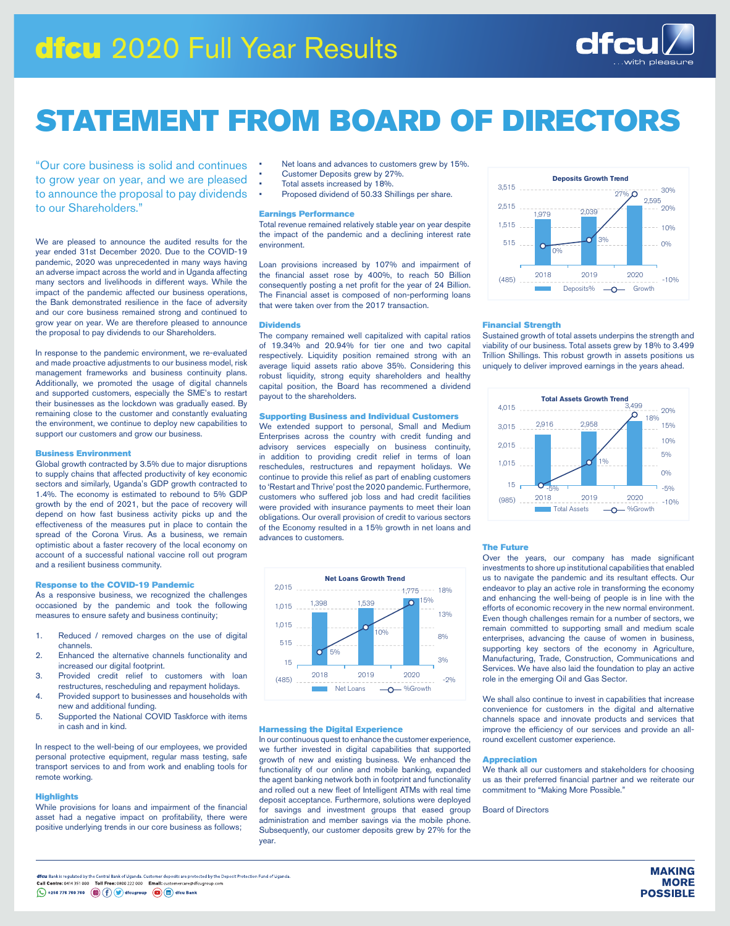# dfcu 2020 Full Year Results



# STATEMENT FROM BOARD OF DIRECTORS

"Our core business is solid and continues to grow year on year, and we are pleased to announce the proposal to pay dividends to our Shareholders."

We are pleased to announce the audited results for the year ended 31st December 2020. Due to the COVID-19 pandemic, 2020 was unprecedented in many ways having an adverse impact across the world and in Uganda affecting many sectors and livelihoods in different ways. While the impact of the pandemic affected our business operations, the Bank demonstrated resilience in the face of adversity and our core business remained strong and continued to grow year on year. We are therefore pleased to announce the proposal to pay dividends to our Shareholders.

In response to the pandemic environment, we re-evaluated and made proactive adjustments to our business model, risk management frameworks and business continuity plans. Additionally, we promoted the usage of digital channels and supported customers, especially the SME's to restart their businesses as the lockdown was gradually eased. By remaining close to the customer and constantly evaluating the environment, we continue to deploy new capabilities to support our customers and grow our business.

# Business Environment

Global growth contracted by 3.5% due to major disruptions to supply chains that affected productivity of key economic sectors and similarly, Uganda's GDP growth contracted to 1.4%. The economy is estimated to rebound to 5% GDP growth by the end of 2021, but the pace of recovery will depend on how fast business activity picks up and the effectiveness of the measures put in place to contain the spread of the Corona Virus. As a business, we remain optimistic about a faster recovery of the local economy on account of a successful national vaccine roll out program and a resilient business community.

# Response to the COVID-19 Pandemic

As a responsive business, we recognized the challenges occasioned by the pandemic and took the following measures to ensure safety and business continuity;

- 1. Reduced / removed charges on the use of digital channels.
- 2. Enhanced the alternative channels functionality and increased our digital footprint.
- 3. Provided credit relief to customers with loan restructures, rescheduling and repayment holidays.
- 4. Provided support to businesses and households with new and additional funding.
- 5. Supported the National COVID Taskforce with items in cash and in kind.

In respect to the well-being of our employees, we provided personal protective equipment, regular mass testing, safe transport services to and from work and enabling tools for remote working.

# **Highlights**

While provisions for loans and impairment of the financial asset had a negative impact on profitability, there were positive underlying trends in our core business as follows;

- Net loans and advances to customers grew by 15%.
- Customer Deposits grew by 27%.
- Total assets increased by 18%.
- Proposed dividend of 50.33 Shillings per share.

# Earnings Performance

Total revenue remained relatively stable year on year despite the impact of the pandemic and a declining interest rate environment.

Loan provisions increased by 107% and impairment of the financial asset rose by 400%, to reach 50 Billion consequently posting a net profit for the year of 24 Billion. The Financial asset is composed of non-performing loans that were taken over from the 2017 transaction.

# **Dividends**

The company remained well capitalized with capital ratios of 19.34% and 20.94% for tier one and two capital respectively. Liquidity position remained strong with an average liquid assets ratio above 35%. Considering this robust liquidity, strong equity shareholders and healthy capital position, the Board has recommened a dividend payout to the shareholders.

# Supporting Business and Individual Customers

We extended support to personal, Small and Medium Enterprises across the country with credit funding and advisory services especially on business continuity, in addition to providing credit relief in terms of loan reschedules, restructures and repayment holidays. We continue to provide this relief as part of enabling customers to 'Restart and Thrive' post the 2020 pandemic. Furthermore, customers who suffered job loss and had credit facilities were provided with insurance payments to meet their loan obligations. Our overall provision of credit to various sectors of the Economy resulted in a 15% growth in net loans and advances to customers.



# Harnessing the Digital Experience

In our continuous quest to enhance the customer experience, we further invested in digital capabilities that supported growth of new and existing business. We enhanced the functionality of our online and mobile banking, expanded the agent banking network both in footprint and functionality and rolled out a new fleet of Intelligent ATMs with real time deposit acceptance. Furthermore, solutions were deployed for savings and investment groups that eased group administration and member savings via the mobile phone. Subsequently, our customer deposits grew by 27% for the year.



### Financial Strength

Sustained growth of total assets underpins the strength and viability of our business. Total assets grew by 18% to 3.499 Trillion Shillings. This robust growth in assets positions us uniquely to deliver improved earnings in the years ahead.



# The Future

Over the years, our company has made significant investments to shore up institutional capabilities that enabled us to navigate the pandemic and its resultant effects. Our endeavor to play an active role in transforming the economy and enhancing the well-being of people is in line with the efforts of economic recovery in the new normal environment. Even though challenges remain for a number of sectors, we remain committed to supporting small and medium scale enterprises, advancing the cause of women in business, supporting key sectors of the economy in Agriculture, Manufacturing, Trade, Construction, Communications and Services. We have also laid the foundation to play an active role in the emerging Oil and Gas Sector.

We shall also continue to invest in capabilities that increase convenience for customers in the digital and alternative channels space and innovate products and services that improve the efficiency of our services and provide an allround excellent customer experience.

## Appreciation

We thank all our customers and stakeholders for choosing us as their preferred financial partner and we reiterate our commitment to "Making More Possible."

Board of Directors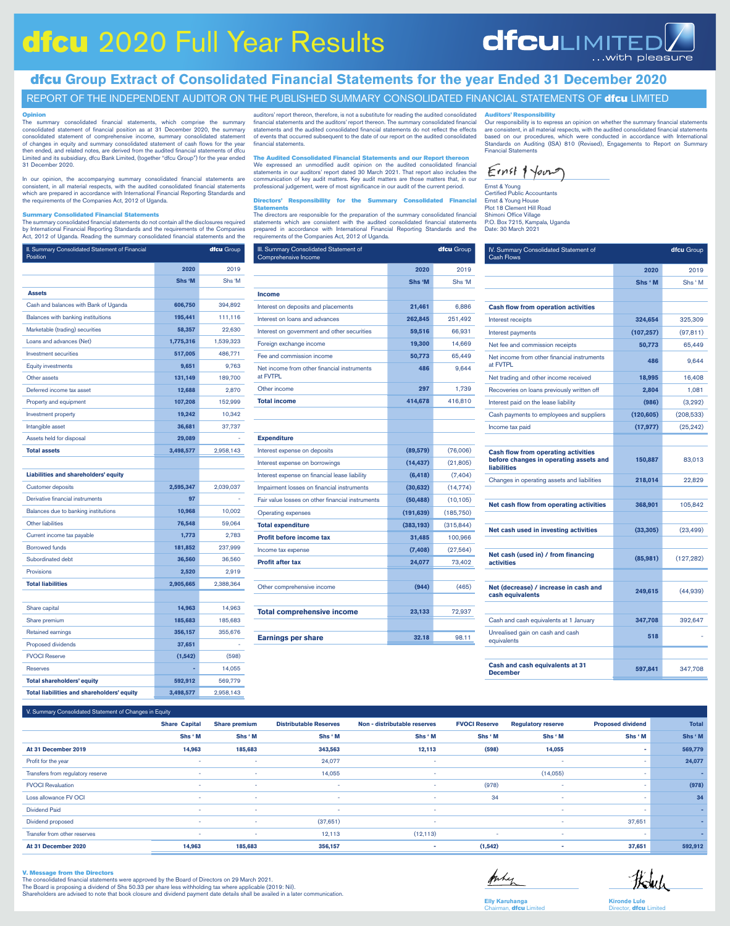# dfcu 2020 Full Year Results

# **dfculimited** with pleasure

dfcu **Group Extract of Consolidated Financial Statements for the year Ended 31 December 2020**

# REPORT OF THE INDEPENDENT AUDITOR ON THE PUBLISHED SUMMARY CONSOLIDATED FINANCIAL STATEMENTS OF **dfcu** LIMITED

# **Opinion**<br>The sum

The summary consolidated financial statements, which comprise the summary consolidated statement of financial position as at 31 December 2020, the summary consolidated statement of comprehensive income, summary consolidate Limited and its subsidiary, dfcu Bank Limited, (together "dfcu Group") for the year ended 31 December 2020.

In our opinion, the accompanying summary consolidated financial statements are consistent, in all material respects, with the audited consolidated financial statements which are prepared in accordance with International Financial Reporting Standards and the requirements of the Companies Act, 2012 of Uganda.

# mary Consolidated Financial Statements

The summary consolidated financial statements do not contain all the disclosures required<br>by International Financial Reporting Standards and the requirements of the Companies<br>Act, 2012 of Uganda. Reading the summary consol

| II. Summary Consolidated Statement of Financial<br>Position |           | <b>dfcu</b> Group |
|-------------------------------------------------------------|-----------|-------------------|
|                                                             | 2020      | 2019              |
|                                                             | Shs 'M    | Shs 'M            |
| <b>Assets</b>                                               |           |                   |
| Cash and balances with Bank of Uganda                       | 606,750   | 394,892           |
| Balances with banking instituitions                         | 195,441   | 111,116           |
| Marketable (trading) securities                             | 58,357    | 22,630            |
| Loans and advances (Net)                                    | 1,775,316 | 1,539,323         |
| <b>Investment securities</b>                                | 517,005   | 486,771           |
| <b>Equity investments</b>                                   | 9,651     | 9,763             |
| Other assets                                                | 131,149   | 189,700           |
| Deferred income tax asset                                   | 12,688    | 2,870             |
| Property and equipment                                      | 107,208   | 152,999           |
| <b>Investment property</b>                                  | 19,242    | 10,342            |
| Intangible asset                                            | 36,681    | 37,737            |
| Assets held for disposal                                    | 29,089    |                   |
| <b>Total assets</b>                                         | 3,498,577 | 2,958,143         |
|                                                             |           |                   |
| Liabilities and shareholders' equity                        |           |                   |
| <b>Customer deposits</b>                                    | 2,595,347 | 2,039,037         |
| Derivative financial instruments                            | 97        |                   |
| Balances due to banking institutions                        | 10,968    | 10,002            |
| <b>Other liabilities</b>                                    | 76,548    | 59,064            |
| Current income tax payable                                  | 1,773     | 2,783             |
| <b>Borrowed funds</b>                                       | 181,852   | 237,999           |
| Subordinated debt                                           | 36,560    | 36,560            |
| Provisions                                                  | 2,520     | 2,919             |
| <b>Total liabilities</b>                                    | 2,905,665 | 2,388,364         |
|                                                             |           |                   |
| Share capital                                               | 14,963    | 14,963            |
| Share premium                                               | 185,683   | 185,683           |
| <b>Retained earnings</b>                                    | 356,157   | 355,676           |
| Proposed dividends                                          | 37,651    |                   |
| <b>FVOCI Reserve</b>                                        | (1, 542)  | (598)             |
| <b>Reserves</b>                                             |           | 14,055            |
| <b>Total shareholders' equity</b>                           | 592,912   | 569,779           |
| <b>Total liabilities and shareholders' equity</b>           | 3,498,577 | 2,958,143         |

auditors' report thereon, therefore, is not a substitute for reading the audited consolidated financial statements and the auditors' report thereon. The summary consolidated financial statements and the audited consolidated financial statements do not reflect the effects of events that occurred subsequent to the date of our report on the audited consolidated financial statements.

The Audited Consolidated Financial Statements and our Report thereon We expressed an unmodified audit opinion on the audited consolidated financial statements in our auditors' report dated 30 March 2021. That report also includes the communication of key audit matters. Key audit matters are those matters that, in our professional judgement, were of most significance in our audit of the current period.

#### Directors' Responsibility for the Summary Consolidated Financial **Statements**

The directors are responsible for the preparation of the summary consolidated financial<br>statements which are consistent with the audited consolidated financial statements<br>prepared in accordance with International Financial requirements of the Companies Act, 2012 of Uganda.

| III. Summary Consolidated Statement of<br>Comprehensive Income |            | dfcu Group |
|----------------------------------------------------------------|------------|------------|
|                                                                | 2020       | 2019       |
|                                                                | Shs 'M     | Shs 'M     |
| <b>Income</b>                                                  |            |            |
| Interest on deposits and placements                            | 21,461     | 6,886      |
| Interest on loans and advances                                 | 262,845    | 251,492    |
| Interest on government and other securities                    | 59,516     | 66,931     |
| Foreign exchange income                                        | 19,300     | 14,669     |
| Fee and commission income                                      | 50,773     | 65,449     |
| Net income from other financial instruments<br>at FVTPL        | 486        | 9,644      |
| Other income                                                   | 297        | 1,739      |
| <b>Total income</b>                                            | 414,678    | 416,810    |
|                                                                |            |            |
|                                                                |            |            |
| <b>Expenditure</b>                                             |            |            |
| Interest expense on deposits                                   | (89, 579)  | (76,006)   |
| Interest expense on borrowings                                 | (14, 437)  | (21, 805)  |
| Interest expense on financial lease liability                  | (6, 418)   | (7, 404)   |
| Impairment losses on financial instruments                     | (30, 632)  | (14, 774)  |
| Fair value losses on other financial instruments               | (50, 488)  | (10, 105)  |
| <b>Operating expenses</b>                                      | (191, 639) | (185, 750) |
| <b>Total expenditure</b>                                       | (383, 193) | (315, 844) |
| <b>Profit before income tax</b>                                | 31,485     | 100,966    |
| Income tax expense                                             | (7, 408)   | (27, 564)  |
| <b>Profit after tax</b>                                        | 24,077     | 73,402     |
|                                                                |            |            |
| Other comprehensive income                                     | (944)      | (465)      |
|                                                                |            |            |
| <b>Total comprehensive income</b>                              | 23,133     | 72,937     |
|                                                                |            |            |
| <b>Earnings per share</b>                                      | 32.18      | 98.11      |

# Auditors' Responsibility

Our responsibility is to express an opinion on whether the summary financial statements<br>are consistent, in all material respects, with the audited consolidated financial statements<br>based on our procedures, which were condu Financial Statements

Ernst & Young Certified Public Accountants Ernst & Young House Plot 18 Clement Hill Road Shimoni Office Village 8 Clement I III<br>oni Office Village<br>Box 7215, Kampala, Uganda Date: 30 March 2021

| IV. Summary Consolidated Statement of<br><b>Cash Flows</b>                                                 |            | dfcu Group |
|------------------------------------------------------------------------------------------------------------|------------|------------|
|                                                                                                            | 2020       | 2019       |
|                                                                                                            | Shs 'M     | Shs 'M     |
|                                                                                                            |            |            |
| <b>Cash flow from operation activities</b>                                                                 |            |            |
| Interest receipts                                                                                          | 324,654    | 325,309    |
| Interest payments                                                                                          | (107, 257) | (97, 811)  |
| Net fee and commission receipts                                                                            | 50,773     | 65,449     |
| Net income from other financial instruments<br>at FVTPL                                                    | 486        | 9,644      |
| Net trading and other income received                                                                      | 18,995     | 16,408     |
| Recoveries on loans previously written off                                                                 | 2,804      | 1,081      |
| Interest paid on the lease liability                                                                       | (986)      | (3,292)    |
| Cash payments to employees and suppliers                                                                   | (120, 605) | (208, 533) |
| Income tax paid                                                                                            | (17, 977)  | (25, 242)  |
|                                                                                                            |            |            |
| <b>Cash flow from operating activities</b><br>before changes in operating assets and<br><b>liabilities</b> | 150,887    | 83,013     |
| Changes in operating assets and liabilities                                                                | 218,014    | 22,829     |
|                                                                                                            |            |            |
| Net cash flow from operating activities                                                                    | 368,901    | 105,842    |
|                                                                                                            |            |            |
| Net cash used in investing activities                                                                      | (33, 305)  | (23, 499)  |
|                                                                                                            |            |            |
| Net cash (used in) / from financing<br>activities                                                          | (85,981)   | (127, 282) |
|                                                                                                            |            |            |
| Net (decrease) / increase in cash and<br>cash equivalents                                                  | 249,615    | (44, 939)  |
|                                                                                                            |            |            |
| Cash and cash equivalents at 1 January                                                                     | 347,708    | 392,647    |
| Unrealised gain on cash and cash<br>equivalents                                                            | 518        |            |
|                                                                                                            |            |            |
| Cash and cash equivalents at 31<br><b>December</b>                                                         | 597,841    | 347,708    |

#### V. Summary Consolidated Statement of Changes in Equity

| v. Summary Consolidated Statement of Changes in Equity |                      |                      |                               |                              |                      |                           |                          |              |
|--------------------------------------------------------|----------------------|----------------------|-------------------------------|------------------------------|----------------------|---------------------------|--------------------------|--------------|
|                                                        | <b>Share Capital</b> | <b>Share premium</b> | <b>Distributable Reserves</b> | Non - distributable reserves | <b>FVOCI Reserve</b> | <b>Regulatory reserve</b> | <b>Proposed dividend</b> | <b>Total</b> |
|                                                        | Shs 'M               | Shs ' M              | Shs ' M                       | Shs ' M                      | Shs 'M               | Shs ' M                   | Shs ' M                  | Shs 'M       |
| At 31 December 2019                                    | 14,963               | 185,683              | 343,563                       | 12,113                       | (598)                | 14,055                    | ۰                        | 569,779      |
| Profit for the year                                    | $\sim$               | ۰                    | 24,077                        | $\sim$                       |                      | ٠                         | ٠                        | 24,077       |
| Transfers from regulatory reserve                      | $\sim$               | ۰                    | 14,055                        | $\sim$                       |                      | (14,055)                  |                          | ÷            |
| <b>FVOCI Revaluation</b>                               |                      | ۰                    | $\sim$                        | $\sim$                       | (978)                | $\sim$                    | ٠                        | (978)        |
| Loss allowance FV OCI                                  | $\sim$               | ٠                    | $\sim$                        | $\sim$                       | 34                   | ٠                         | ٠                        | 34           |
| <b>Dividend Paid</b>                                   | $\sim$               | ۰                    | $\sim$                        | $\sim$                       |                      | ٠                         |                          | ٠            |
| Dividend proposed                                      | $\sim$               | ۰                    | (37,651)                      | $\sim$                       |                      | $\sim$                    | 37,651                   | ÷            |
| Transfer from other reserves                           | $\sim$               | ۰                    | 12,113                        | (12, 113)                    |                      | ٠                         | ٠                        | ٠            |
| At 31 December 2020                                    | 14,963               | 185,683              | 356,157                       | $\sim$                       | (1, 542)             | ٠                         | 37,651                   | 592,912      |

#### V. Message from the Directors

The consolidated financial statements were approved by the Board of Directors on 29 March 2021. The Board is proposing a dividend of Shs 50.33 per share less withholding tax where applicable (2019: Nil). Shareholders are advised to note that book closure and dividend payment date details shall be availed in a later communication.



Howh

**Elly Karuhanga** dfcu Limited